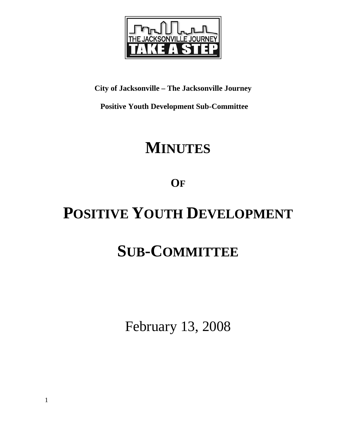

### **City of Jacksonville – The Jacksonville Journey**

 **Positive Youth Development Sub-Committee** 

## **MINUTES**

## **OF**

# **POSITIVE YOUTH DEVELOPMENT**

# **SUB-COMMITTEE**

February 13, 2008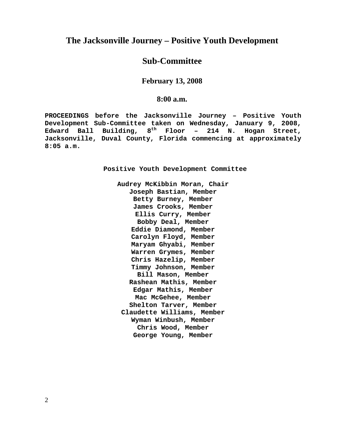#### **The Jacksonville Journey – Positive Youth Development**

#### **Sub-Committee**

#### **February 13, 2008**

#### **8:00 a.m.**

**PROCEEDINGS before the Jacksonville Journey – Positive Youth Development Sub-Committee taken on Wednesday, January 9, 2008, Edward Ball Building, 8th Floor – 214 N. Hogan Street, Jacksonville, Duval County, Florida commencing at approximately 8:05 a.m.** 

**Positive Youth Development Committee** 

**Audrey McKibbin Moran, Chair Joseph Bastian, Member Betty Burney, Member James Crooks, Member Ellis Curry, Member Bobby Deal, Member Eddie Diamond, Member Carolyn Floyd, Member Maryam Ghyabi, Member Warren Grymes, Member Chris Hazelip, Member Timmy Johnson, Member Bill Mason, Member Rashean Mathis, Member Edgar Mathis, Member Mac McGehee, Member Shelton Tarver, Member Claudette Williams, Member Wyman Winbush, Member Chris Wood, Member George Young, Member** 

2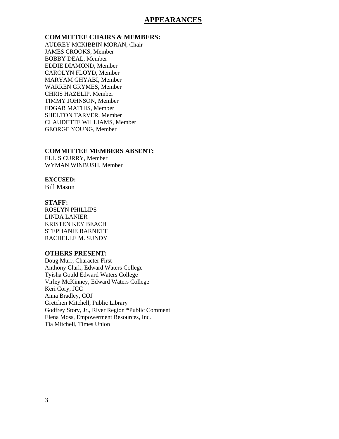#### **APPEARANCES**

#### **COMMITTEE CHAIRS & MEMBERS:**

AUDREY MCKIBBIN MORAN, Chair JAMES CROOKS, Member BOBBY DEAL, Member EDDIE DIAMOND, Member CAROLYN FLOYD, Member MARYAM GHYABI, Member WARREN GRYMES, Member CHRIS HAZELIP, Member TIMMY JOHNSON, Member EDGAR MATHIS, Member SHELTON TARVER, Member CLAUDETTE WILLIAMS, Member GEORGE YOUNG, Member

#### **COMMITTEE MEMBERS ABSENT:**

ELLIS CURRY, Member WYMAN WINBUSH, Member

#### **EXCUSED:**

Bill Mason

#### **STAFF:**

ROSLYN PHILLIPS LINDA LANIER KRISTEN KEY BEACH STEPHANIE BARNETT RACHELLE M. SUNDY

#### **OTHERS PRESENT:**

Doug Murr, Character First Anthony Clark, Edward Waters College Tyisha Gould Edward Waters College Virley McKinney, Edward Waters College Keri Cory, JCC Anna Bradley, COJ Gretchen Mitchell, Public Library Godfrey Story, Jr., River Region \*Public Comment Elena Moss, Empowerment Resources, Inc. Tia Mitchell, Times Union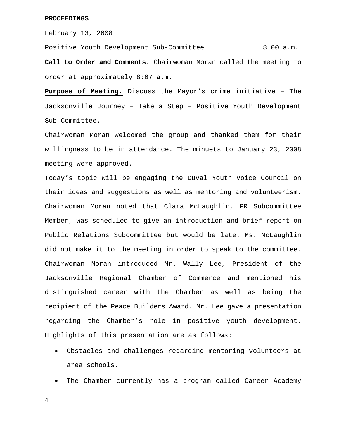#### **PROCEEDINGS**

February 13, 2008

Positive Youth Development Sub-Committee 8:00 a.m.

**Call to Order and Comments.** Chairwoman Moran called the meeting to order at approximately 8:07 a.m.

**Purpose of Meeting.** Discuss the Mayor's crime initiative – The Jacksonville Journey – Take a Step – Positive Youth Development Sub-Committee.

Chairwoman Moran welcomed the group and thanked them for their willingness to be in attendance. The minuets to January 23, 2008 meeting were approved.

Today's topic will be engaging the Duval Youth Voice Council on their ideas and suggestions as well as mentoring and volunteerism. Chairwoman Moran noted that Clara McLaughlin, PR Subcommittee Member, was scheduled to give an introduction and brief report on Public Relations Subcommittee but would be late. Ms. McLaughlin did not make it to the meeting in order to speak to the committee. Chairwoman Moran introduced Mr. Wally Lee, President of the Jacksonville Regional Chamber of Commerce and mentioned his distinguished career with the Chamber as well as being the recipient of the Peace Builders Award. Mr. Lee gave a presentation regarding the Chamber's role in positive youth development. Highlights of this presentation are as follows:

- Obstacles and challenges regarding mentoring volunteers at area schools.
- The Chamber currently has a program called Career Academy

4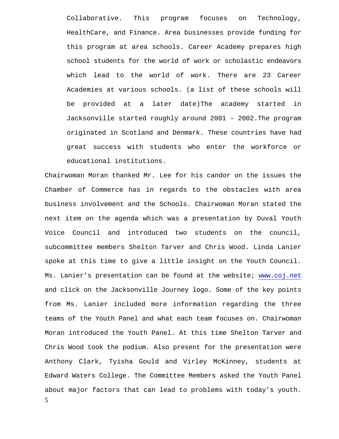Collaborative. This program focuses on Technology, HealthCare, and Finance. Area businesses provide funding for this program at area schools. Career Academy prepares high school students for the world of work or scholastic endeavors which lead to the world of work. There are 23 Career Academies at various schools. (a list of these schools will be provided at a later date)The academy started in Jacksonville started roughly around 2001 – 2002.The program originated in Scotland and Denmark. These countries have had great success with students who enter the workforce or educational institutions.

5 Chairwoman Moran thanked Mr. Lee for his candor on the issues the Chamber of Commerce has in regards to the obstacles with area business involvement and the Schools. Chairwoman Moran stated the next item on the agenda which was a presentation by Duval Youth Voice Council and introduced two students on the council, subcommittee members Shelton Tarver and Chris Wood. Linda Lanier spoke at this time to give a little insight on the Youth Council. Ms. Lanier's presentation can be found at the website; www.coj.net and click on the Jacksonville Journey logo. Some of the key points from Ms. Lanier included more information regarding the three teams of the Youth Panel and what each team focuses on. Chairwoman Moran introduced the Youth Panel. At this time Shelton Tarver and Chris Wood took the podium. Also present for the presentation were Anthony Clark, Tyisha Gould and Virley McKinney, students at Edward Waters College. The Committee Members asked the Youth Panel about major factors that can lead to problems with today's youth.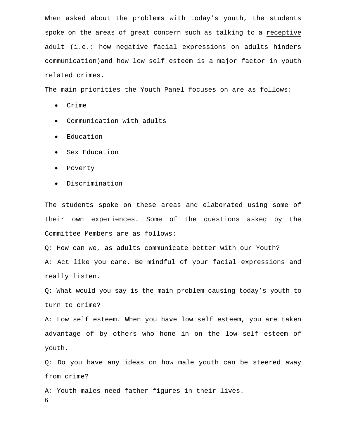When asked about the problems with today's youth, the students spoke on the areas of great concern such as talking to a receptive adult (i.e.: how negative facial expressions on adults hinders communication)and how low self esteem is a major factor in youth related crimes.

The main priorities the Youth Panel focuses on are as follows:

- Crime
- Communication with adults
- Education
- Sex Education
- Poverty
- Discrimination

The students spoke on these areas and elaborated using some of their own experiences. Some of the questions asked by the Committee Members are as follows:

Q: How can we, as adults communicate better with our Youth? A: Act like you care. Be mindful of your facial expressions and really listen.

Q: What would you say is the main problem causing today's youth to turn to crime?

A: Low self esteem. When you have low self esteem, you are taken advantage of by others who hone in on the low self esteem of youth.

Q: Do you have any ideas on how male youth can be steered away from crime?

6 A: Youth males need father figures in their lives.